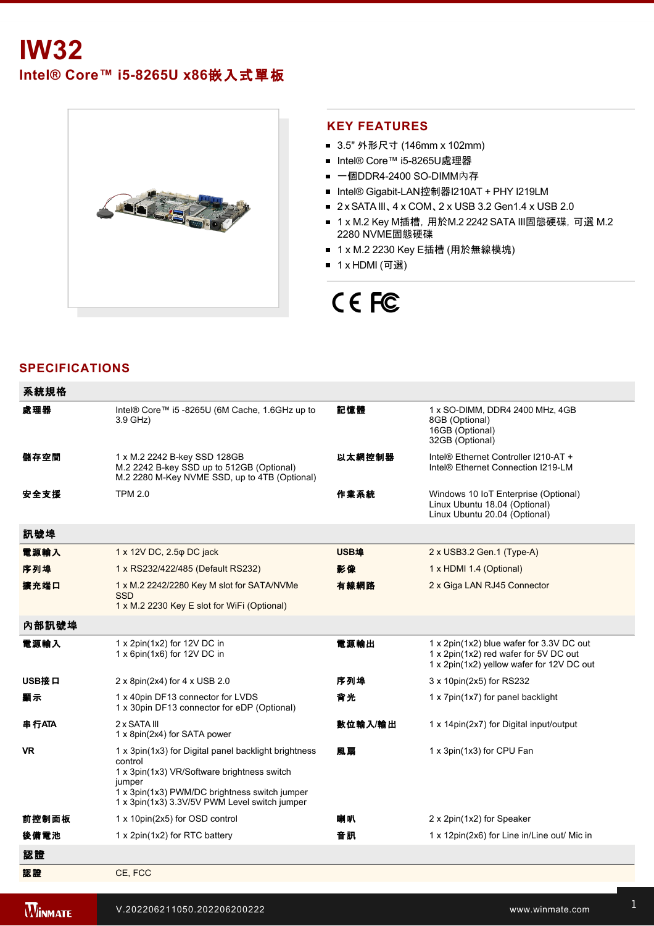# **IW32**

**Intel® Core™ i58265U x86**嵌入式單板



#### **KEY FEATURES**

- 3.5" 外形尺寸 (146mm x 102mm)
- Intel® Core™ i5-8265U處理器
- 一個DDR4-2400 SO-DIMM內存
- Intel® Gigabit-LAN控制器I210AT + PHY I219LM
- 2 x SATA III、 4 x COM、 2 x USB 3.2 Gen1.4 x USB 2.0
- 1 x M.2 Key M插槽, 用於M.2 2242 SATA III固態硬碟, 可選 M.2 2280 NVME固態硬碟
- 1 x M.2 2230 Key E插槽 (用於無線模塊)
- 1 x HDMI (可選)

## CE FC

#### **SPECIFICATIONS**

| 系統規格      |                                                                                                                                                                                                                            |         |                                                                                                                                |
|-----------|----------------------------------------------------------------------------------------------------------------------------------------------------------------------------------------------------------------------------|---------|--------------------------------------------------------------------------------------------------------------------------------|
| 處理器       | Intel® Core™ i5 -8265U (6M Cache, 1.6GHz up to<br>3.9 GHz)                                                                                                                                                                 | 記憶體     | 1 x SO-DIMM, DDR4 2400 MHz, 4GB<br>8GB (Optional)<br>16GB (Optional)<br>32GB (Optional)                                        |
| 儲存空間      | 1 x M.2 2242 B-key SSD 128GB<br>M.2 2242 B-key SSD up to 512GB (Optional)<br>M.2 2280 M-Key NVME SSD, up to 4TB (Optional)                                                                                                 | 以太網控制器  | Intel® Ethernet Controller I210-AT +<br>Intel® Ethernet Connection I219-LM                                                     |
| 安全支援      | <b>TPM 2.0</b>                                                                                                                                                                                                             | 作業系統    | Windows 10 IoT Enterprise (Optional)<br>Linux Ubuntu 18.04 (Optional)<br>Linux Ubuntu 20.04 (Optional)                         |
| 訊號埠       |                                                                                                                                                                                                                            |         |                                                                                                                                |
| 電源輸入      | 1 x 12V DC, 2.5 $\varphi$ DC jack                                                                                                                                                                                          | USB埠    | 2 x USB3.2 Gen.1 (Type-A)                                                                                                      |
| 序列埠       | 1 x RS232/422/485 (Default RS232)                                                                                                                                                                                          | 影像      | 1 x HDMI 1.4 (Optional)                                                                                                        |
| 擴充端口      | 1 x M.2 2242/2280 Key M slot for SATA/NVMe<br><b>SSD</b><br>1 x M.2 2230 Key E slot for WiFi (Optional)                                                                                                                    | 有線網路    | 2 x Giga LAN RJ45 Connector                                                                                                    |
| 內部訊號埠     |                                                                                                                                                                                                                            |         |                                                                                                                                |
| 電源輸入      | 1 x 2pin(1x2) for 12V DC in<br>1 x 6pin(1x6) for 12V DC in                                                                                                                                                                 | 電源輸出    | 1 x 2pin(1x2) blue wafer for 3.3V DC out<br>1 x 2pin(1x2) red wafer for 5V DC out<br>1 x 2pin(1x2) yellow wafer for 12V DC out |
| USB接口     | $2 \times 8$ pin(2x4) for 4 x USB 2.0                                                                                                                                                                                      | 序列埠     | 3 x 10pin(2x5) for RS232                                                                                                       |
| 顯示        | 1 x 40pin DF13 connector for LVDS<br>1 x 30pin DF13 connector for eDP (Optional)                                                                                                                                           | 背光      | 1 x 7pin(1x7) for panel backlight                                                                                              |
| 串行ATA     | 2 x SATA III<br>1 x 8pin(2x4) for SATA power                                                                                                                                                                               | 數位輸入/輸出 | 1 x 14pin(2x7) for Digital input/output                                                                                        |
| <b>VR</b> | 1 x 3pin(1x3) for Digital panel backlight brightness<br>control<br>1 x 3pin(1x3) VR/Software brightness switch<br>jumper<br>1 x 3pin(1x3) PWM/DC brightness switch jumper<br>1 x 3pin(1x3) 3.3V/5V PWM Level switch jumper | 風扇      | 1 x 3pin(1x3) for CPU Fan                                                                                                      |
| 前控制面板     | 1 x 10pin(2x5) for OSD control                                                                                                                                                                                             | 喇叭      | 2 x 2pin(1x2) for Speaker                                                                                                      |
| 後備電池      | 1 x 2pin(1x2) for RTC battery                                                                                                                                                                                              | 音訊      | 1 x 12pin(2x6) for Line in/Line out/ Mic in                                                                                    |
| 認證        |                                                                                                                                                                                                                            |         |                                                                                                                                |
| 認證        | CE, FCC                                                                                                                                                                                                                    |         |                                                                                                                                |
|           |                                                                                                                                                                                                                            |         |                                                                                                                                |

**WINMATE**